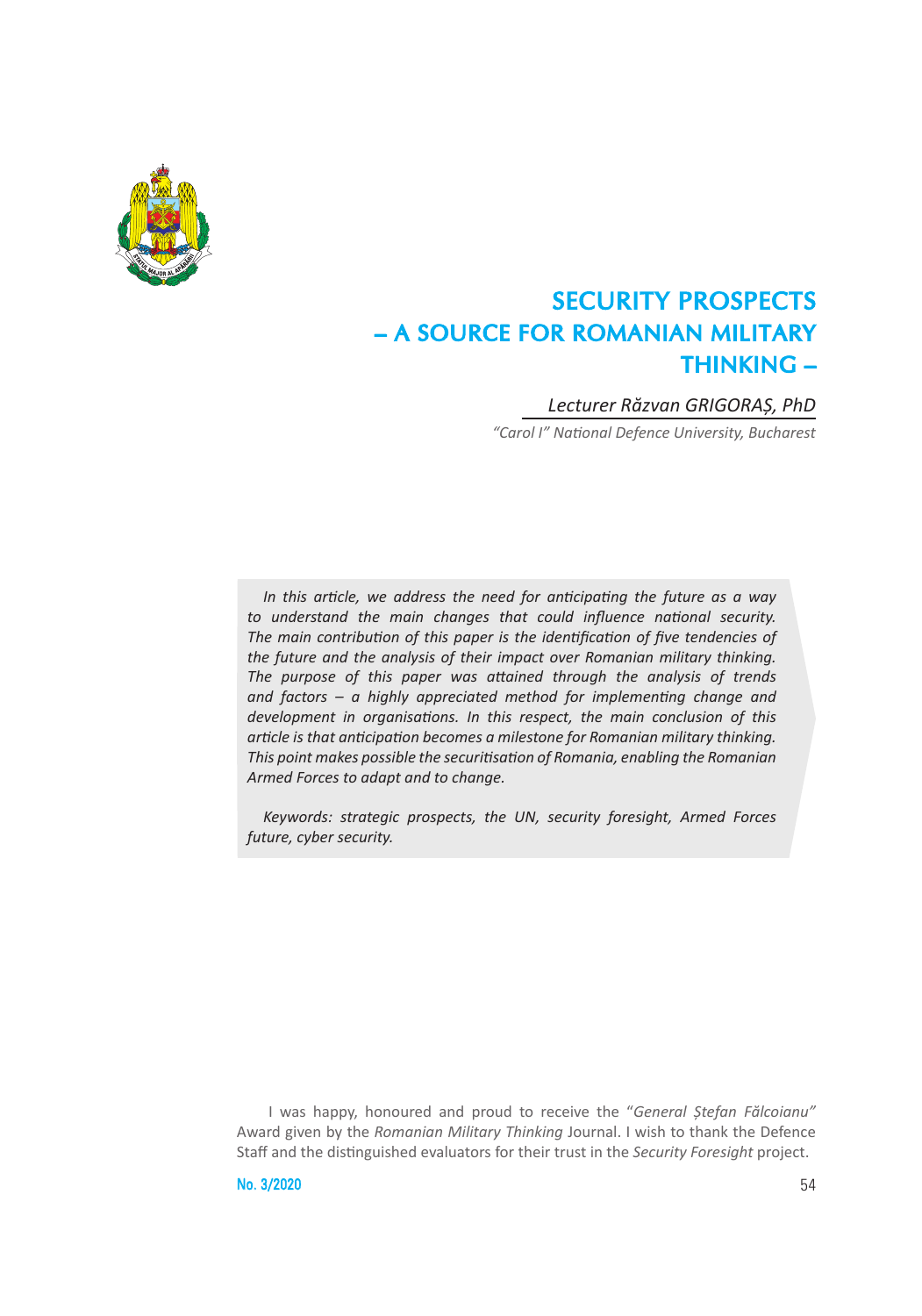

# SECURITY PROSPECTS – A SOURCE FOR ROMANIAN MILITARY THINKING –

### *Lecturer Răzvan GRIGORAȘ, PhD*

*"Carol I" National Defence University, Bucharest*

*In this article, we address the need for anticipating the future as a way to understand the main changes that could influence national security. The main contribution of this paper is the identification of five tendencies of the future and the analysis of their impact over Romanian military thinking. The purpose of this paper was attained through the analysis of trends and factors – a highly appreciated method for implementing change and development in organisations. In this respect, the main conclusion of this article is that anticipation becomes a milestone for Romanian military thinking. This point makes possible the securitisation of Romania, enabling the Romanian Armed Forces to adapt and to change.*

*Keywords: strategic prospects, the UN, security foresight, Armed Forces future, cyber security.*

I was happy, honoured and proud to receive the "*General Ștefan Fălcoianu"*  Award given by the *Romanian Military Thinking* Journal. I wish to thank the Defence Staff and the distinguished evaluators for their trust in the *Security Foresight* project.

 $N_0$ .  $3/2020$  54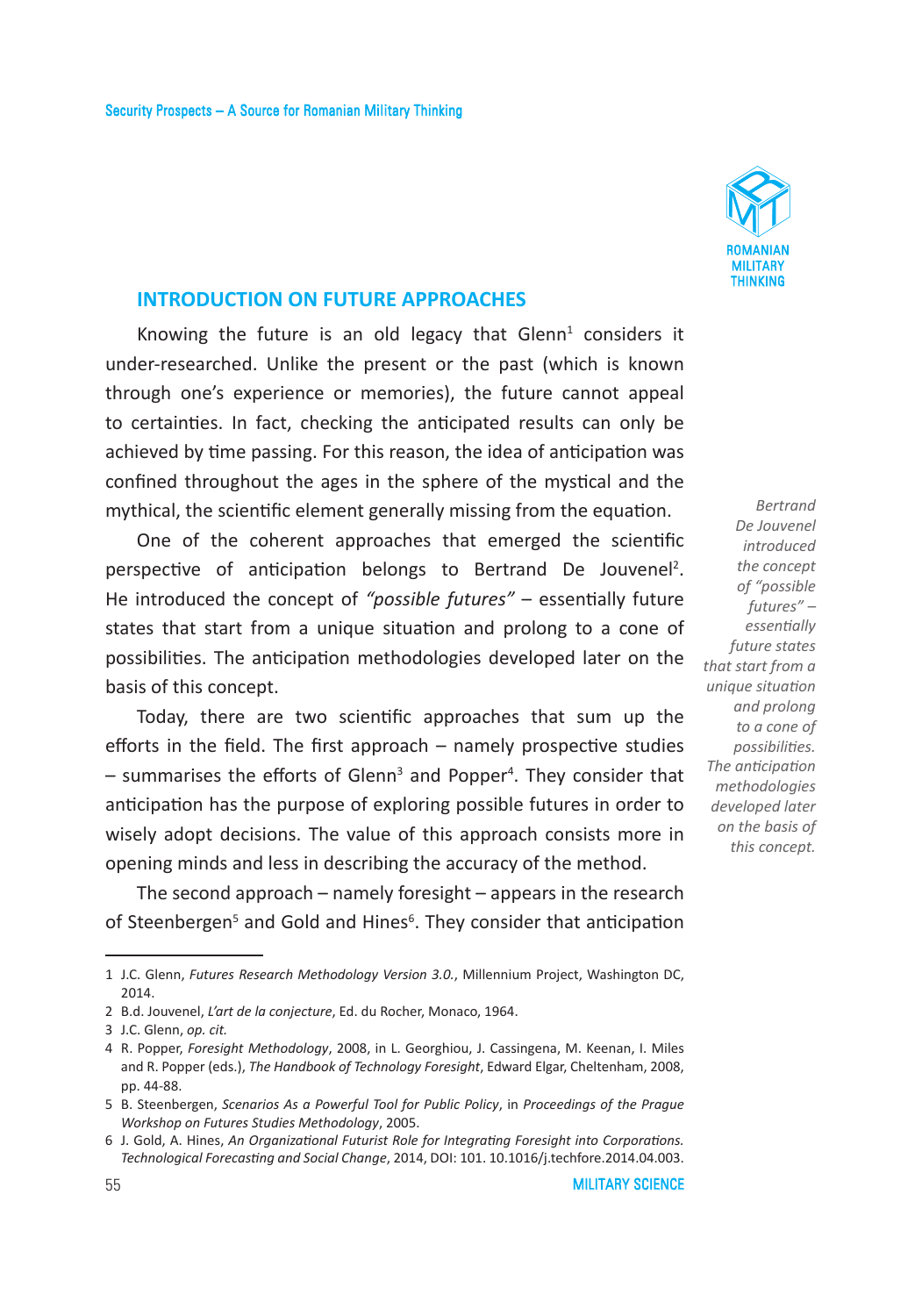

### **INTRODUCTION ON FUTURE APPROACHES**

Knowing the future is an old legacy that  $Glenn<sup>1</sup>$  considers it under-researched. Unlike the present or the past (which is known through one's experience or memories), the future cannot appeal to certainties. In fact, checking the anticipated results can only be achieved by time passing. For this reason, the idea of anticipation was confined throughout the ages in the sphere of the mystical and the mythical, the scientific element generally missing from the equation.

One of the coherent approaches that emerged the scientific perspective of anticipation belongs to Bertrand De Jouvenel<sup>2</sup>. He introduced the concept of *"possible futures"* – essentially future states that start from a unique situation and prolong to a cone of possibilities. The anticipation methodologies developed later on the basis of this concept.

Today, there are two scientific approaches that sum up the efforts in the field. The first approach – namely prospective studies – summarises the efforts of Glenn<sup>3</sup> and Popper<sup>4</sup>. They consider that anticipation has the purpose of exploring possible futures in order to wisely adopt decisions. The value of this approach consists more in opening minds and less in describing the accuracy of the method.

The second approach – namely foresight – appears in the research of Steenbergen<sup>5</sup> and Gold and Hines<sup>6</sup>. They consider that anticipation

*De Jouvenel introduced the concept of "possible futures" – essentially future states that start from a unique situation and prolong to a cone of possibilities. The anticipation methodologies developed later on the basis of this concept.*

*Bertrand* 

<sup>1</sup> J.C. Glenn, *Futures Research Methodology Version 3.0.*, Millennium Project, Washington DC, 2014.

<sup>2</sup> B.d. Jouvenel, *L'art de la conjecture*, Ed. du Rocher, Monaco, 1964.

<sup>3</sup> J.C. Glenn, *op. cit.*

<sup>4</sup> R. Popper, *Foresight Methodology*, 2008, in L. Georghiou, J. Cassingena, M. Keenan, I. Miles and R. Popper (eds.), *The Handbook of Technology Foresight*, Edward Elgar, Cheltenham, 2008, pp. 44-88.

<sup>5</sup> B. Steenbergen, *Scenarios As a Powerful Tool for Public Policy*, in *Proceedings of the Prague Workshop on Futures Studies Methodology*, 2005.

<sup>6</sup> J. Gold, A. Hines, *An Organizational Futurist Role for Integrating Foresight into Corporations. Technological Forecasting and Social Change*, 2014, DOI: 101. 10.1016/j.techfore.2014.04.003.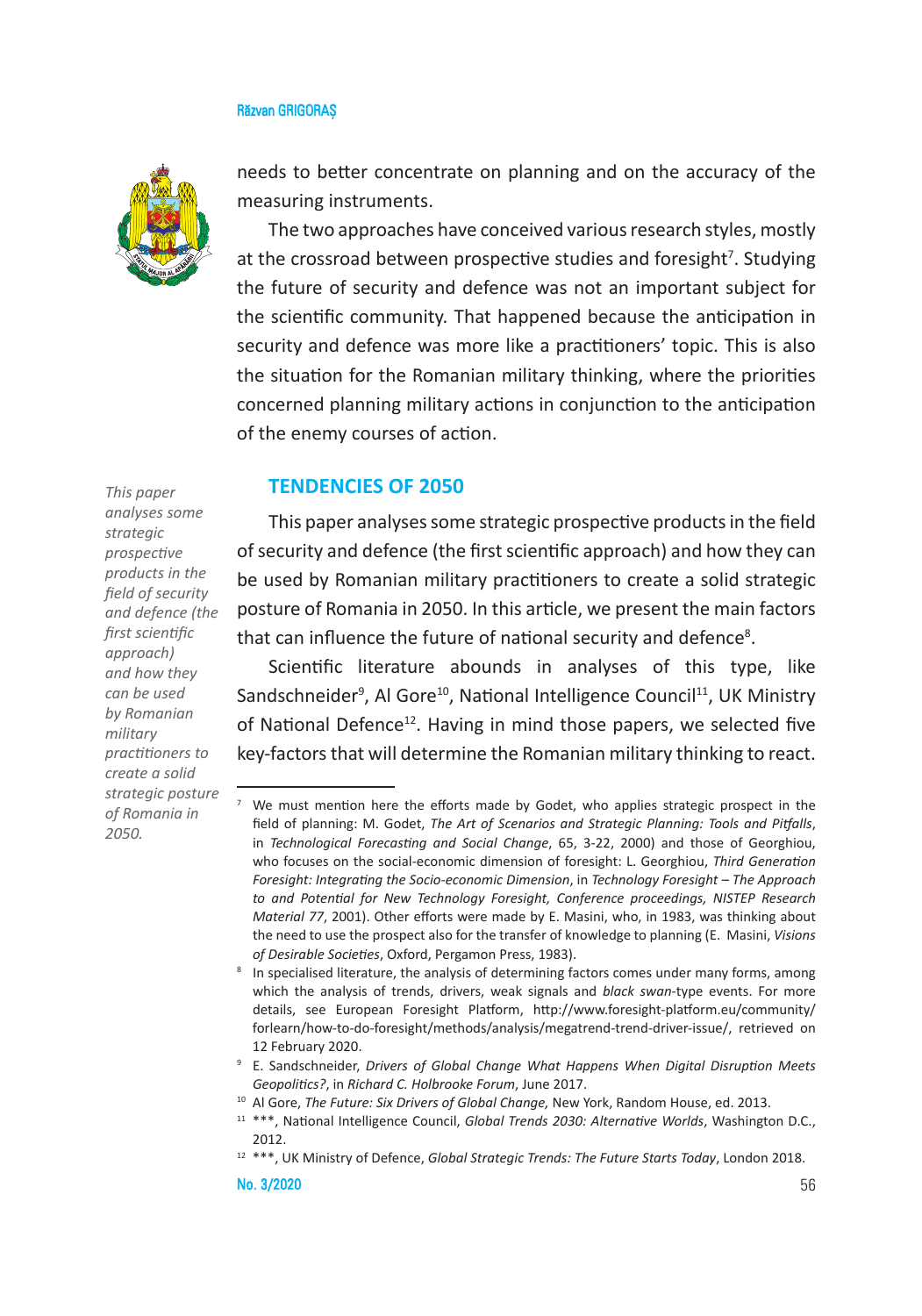

needs to better concentrate on planning and on the accuracy of the measuring instruments.

The two approaches have conceived various research styles, mostly at the crossroad between prospective studies and foresight<sup>7</sup>. Studying the future of security and defence was not an important subject for the scientific community. That happened because the anticipation in security and defence was more like a practitioners' topic. This is also the situation for the Romanian military thinking, where the priorities concerned planning military actions in conjunction to the anticipation of the enemy courses of action.

### **TENDENCIES OF 2050**

*This paper analyses some strategic prospective products in the field of security and defence (the first scientific approach) and how they can be used by Romanian military practitioners to create a solid strategic posture of Romania in 2050.* 

This paper analyses some strategic prospective products in the field of security and defence (the first scientific approach) and how they can be used by Romanian military practitioners to create a solid strategic posture of Romania in 2050. In this article, we present the main factors that can influence the future of national security and defence<sup>8</sup>.

Scientific literature abounds in analyses of this type, like Sandschneider<sup>9</sup>, Al Gore<sup>10</sup>, National Intelligence Council<sup>11</sup>, UK Ministry of National Defence<sup>12</sup>. Having in mind those papers, we selected five key-factors that will determine the Romanian military thinking to react.

We must mention here the efforts made by Godet, who applies strategic prospect in the field of planning: M. Godet, *The Art of Scenarios and Strategic Planning: Tools and Pitfalls*, in *Technological Forecasting and Social Change*, 65, 3-22, 2000) and those of Georghiou, who focuses on the social-economic dimension of foresight: L. Georghiou, *Third Generation Foresight: Integrating the Socio-economic Dimension*, in *Technology Foresight – The Approach to and Potential for New Technology Foresight, Conference proceedings, NISTEP Research Material 77*, 2001). Other efforts were made by E. Masini, who, in 1983, was thinking about the need to use the prospect also for the transfer of knowledge to planning (E. Masini, *Visions of Desirable Societies*, Oxford, Pergamon Press, 1983).

<sup>&</sup>lt;sup>8</sup> In specialised literature, the analysis of determining factors comes under many forms, among which the analysis of trends, drivers, weak signals and *black swan*-type events. For more details, see European Foresight Platform, http://www.foresight-platform.eu/community/ forlearn/how-to-do-foresight/methods/analysis/megatrend-trend-driver-issue/, retrieved on 12 February 2020.

<sup>9</sup> E. Sandschneider, *Drivers of Global Change What Happens When Digital Disruption Meets Geopolitics?*, in *Richard C. Holbrooke Forum*, June 2017.

<sup>10</sup> Al Gore, *The Future: Six Drivers of Global Change,* New York, Random House, ed. 2013.

<sup>11</sup> \*\*\*, National Intelligence Council, *Global Trends 2030: Alternative Worlds*, Washington D.C., 2012.

<sup>12</sup> \*\*\*, UK Ministry of Defence, *Global Strategic Trends: The Future Starts Today*, London 2018.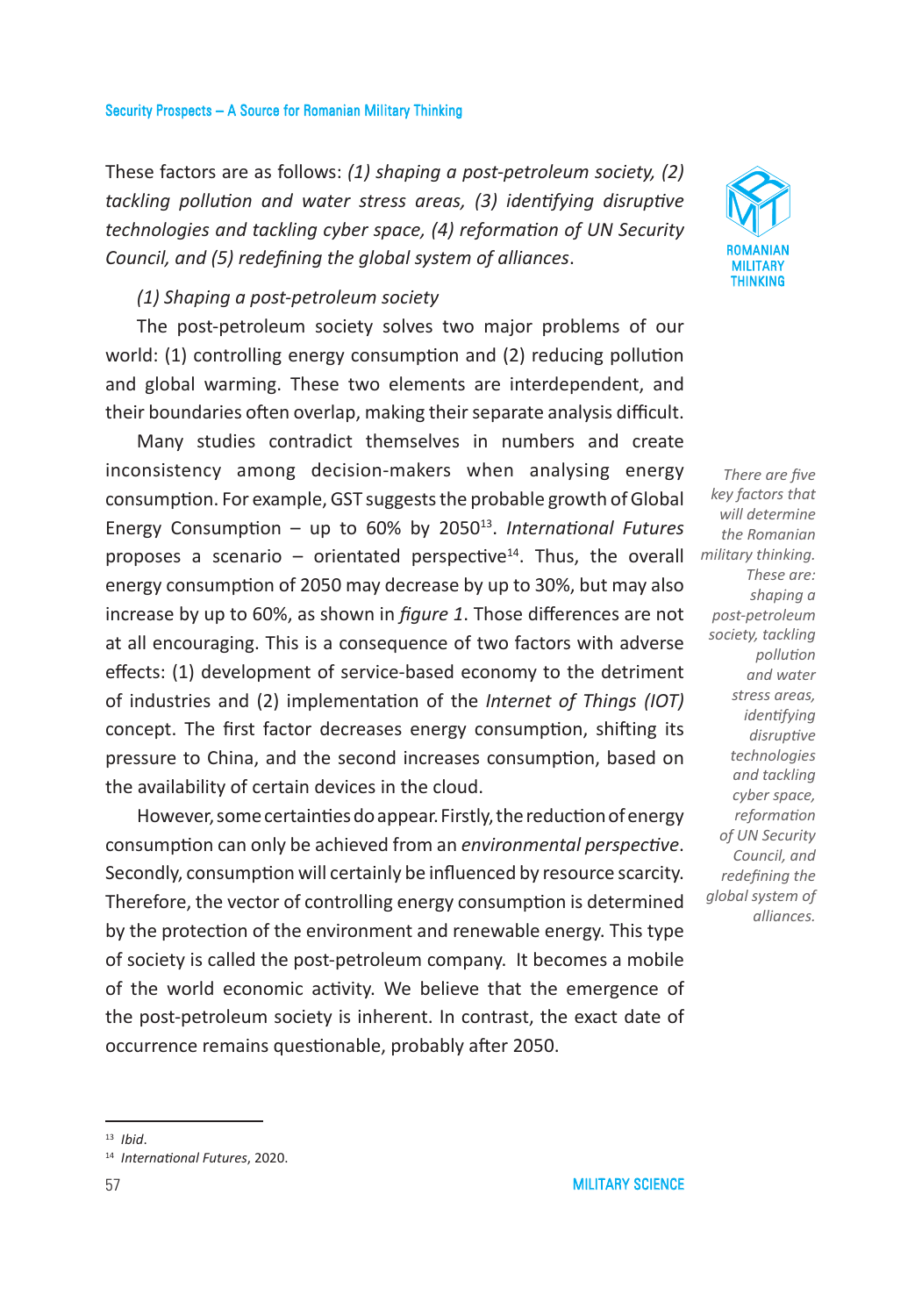These factors are as follows: *(1) shaping a post-petroleum society, (2) tackling pollution and water stress areas, (3) identifying disruptive technologies and tackling cyber space, (4) reformation of UN Security Council, and (5) redefining the global system of alliances*.

### *(1) Shaping a post-petroleum society*

The post-petroleum society solves two major problems of our world: (1) controlling energy consumption and (2) reducing pollution and global warming. These two elements are interdependent, and their boundaries often overlap, making their separate analysis difficult.

Many studies contradict themselves in numbers and create inconsistency among decision-makers when analysing energy consumption. For example, GST suggests the probable growth of Global Energy Consumption – up to 60% by 2050<sup>13</sup>. *International Futures* proposes a scenario – orientated perspective<sup>14</sup>. Thus, the overall energy consumption of 2050 may decrease by up to 30%, but may also increase by up to 60%, as shown in *figure 1*. Those differences are not at all encouraging. This is a consequence of two factors with adverse effects: (1) development of service-based economy to the detriment of industries and (2) implementation of the *Internet of Things (IOT)* concept. The first factor decreases energy consumption, shifting its pressure to China, and the second increases consumption, based on the availability of certain devices in the cloud.

However, some certainties do appear. Firstly, the reduction of energy consumption can only be achieved from an *environmental perspective*. Secondly, consumption will certainly be influenced by resource scarcity. Therefore, the vector of controlling energy consumption is determined by the protection of the environment and renewable energy. This type of society is called the post-petroleum company. It becomes a mobile of the world economic activity. We believe that the emergence of the post-petroleum society is inherent. In contrast, the exact date of occurrence remains questionable, probably after 2050.



*There are five key factors that will determine the Romanian military thinking. These are: shaping a post-petroleum society, tackling pollution and water stress areas, identifying disruptive technologies and tackling cyber space, reformation of UN Security Council, and redefining the global system of alliances.*

<sup>13</sup> *Ibid*.

<sup>14</sup> *International Futures*, 2020.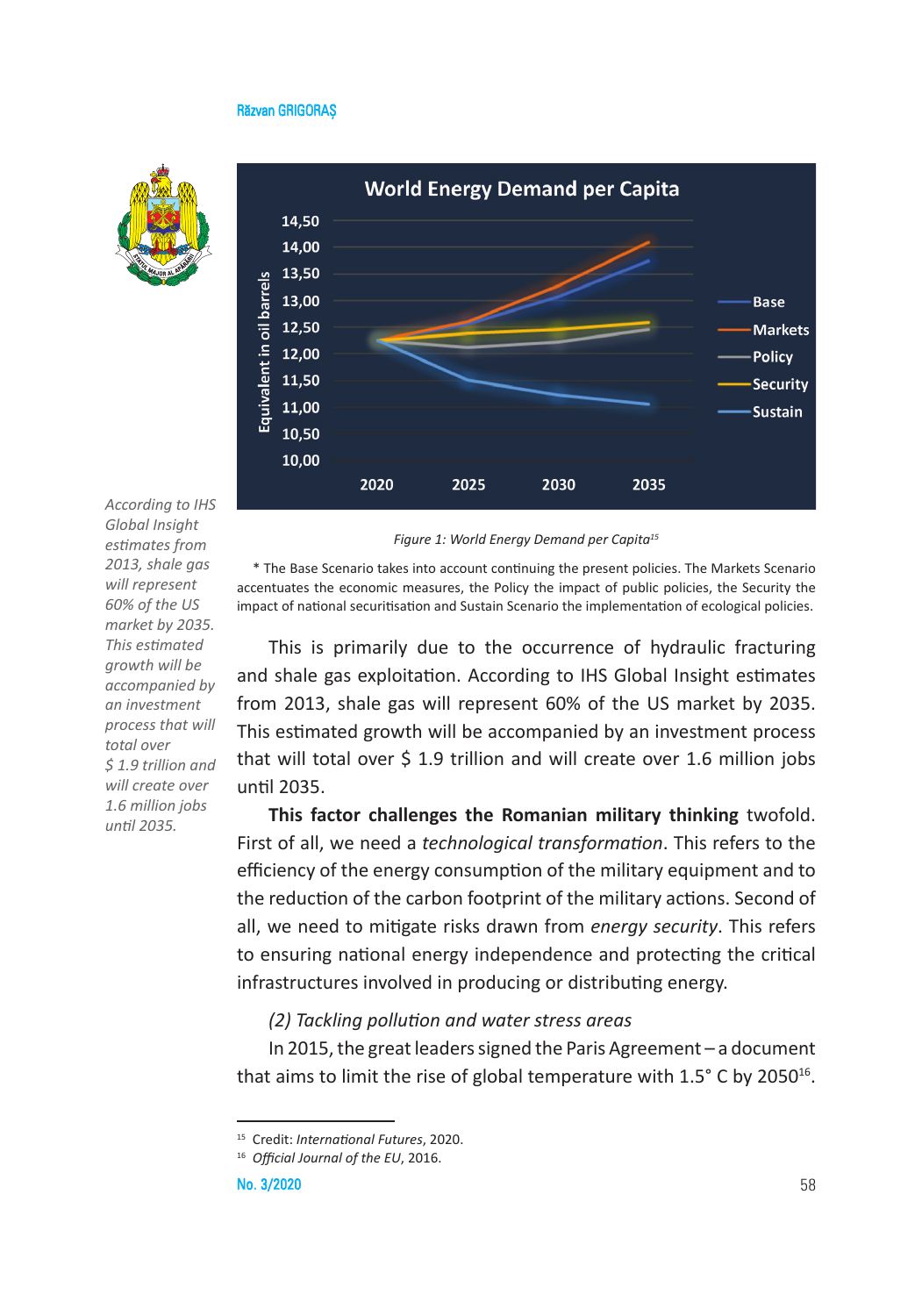



*According to IHS Global Insight estimates from 2013, shale gas will represent 60% of the US market by 2035. This estimated growth will be accompanied by an investment process that will total over \$ 1.9 trillion and will create over 1.6 million jobs until 2035.*

*Figure 1: World Energy Demand per Capita15*

\* The Base Scenario takes into account continuing the present policies. The Markets Scenario accentuates the economic measures, the Policy the impact of public policies, the Security the impact of national securitisation and Sustain Scenario the implementation of ecological policies.

This is primarily due to the occurrence of hydraulic fracturing and shale gas exploitation. According to IHS Global Insight estimates from 2013, shale gas will represent 60% of the US market by 2035. This estimated growth will be accompanied by an investment process that will total over \$ 1.9 trillion and will create over 1.6 million jobs until 2035.

**This factor challenges the Romanian military thinking** twofold. First of all, we need a *technological transformation*. This refers to the efficiency of the energy consumption of the military equipment and to the reduction of the carbon footprint of the military actions. Second of all, we need to mitigate risks drawn from *energy security*. This refers to ensuring national energy independence and protecting the critical infrastructures involved in producing or distributing energy.

### *(2) Tackling pollution and water stress areas*

In 2015, the great leaders signed the Paris Agreement – a document that aims to limit the rise of global temperature with  $1.5^{\circ}$  C by 2050<sup>16</sup>.

<sup>15</sup> Credit: *International Futures*, 2020.

<sup>16</sup> *Official Journal of the EU*, 2016.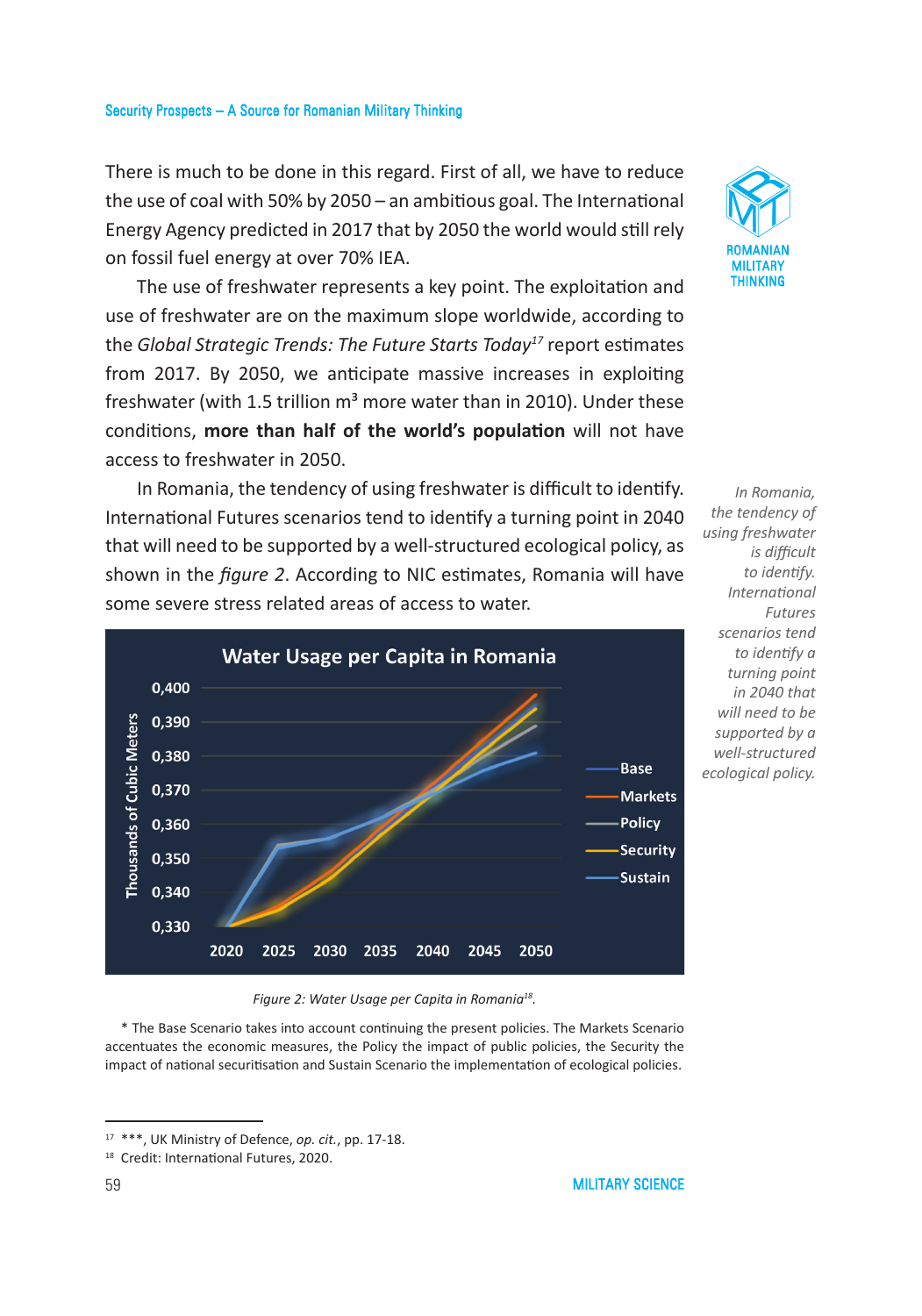There is much to be done in this regard. First of all, we have to reduce the use of coal with 50% by 2050 – an ambitious goal. The International Energy Agency predicted in 2017 that by 2050 the world would still rely on fossil fuel energy at over 70% IEA.

The use of freshwater represents a key point. The exploitation and use of freshwater are on the maximum slope worldwide, according to the *Global Strategic Trends: The Future Starts Today17* report estimates from 2017. By 2050, we anticipate massive increases in exploiting freshwater (with 1.5 trillion  $m<sup>3</sup>$  more water than in 2010). Under these conditions, **more than half of the world's population** will not have access to freshwater in 2050.

In Romania, the tendency of using freshwater is difficult to identify. International Futures scenarios tend to identify a turning point in 2040 that will need to be supported by a well-structured ecological policy, as shown in the *figure 2*. According to NIC estimates, Romania will have some severe stress related areas of access to water.



*In Romania, the tendency of using freshwater is difficult to identify. International Futures scenarios tend to identify a turning point in 2040 that will need to be supported by a well-structured ecological policy.* 

*Figure 2: Water Usage per Capita in Romania18.* 

\* The Base Scenario takes into account continuing the present policies. The Markets Scenario accentuates the economic measures, the Policy the impact of public policies, the Security the impact of national securitisation and Sustain Scenario the implementation of ecological policies.

ROMANIAN MILITARY THINKING

<sup>17</sup> \*\*\*, UK Ministry of Defence, *op. cit.*, pp. 17-18.

<sup>18</sup> Credit: International Futures, 2020.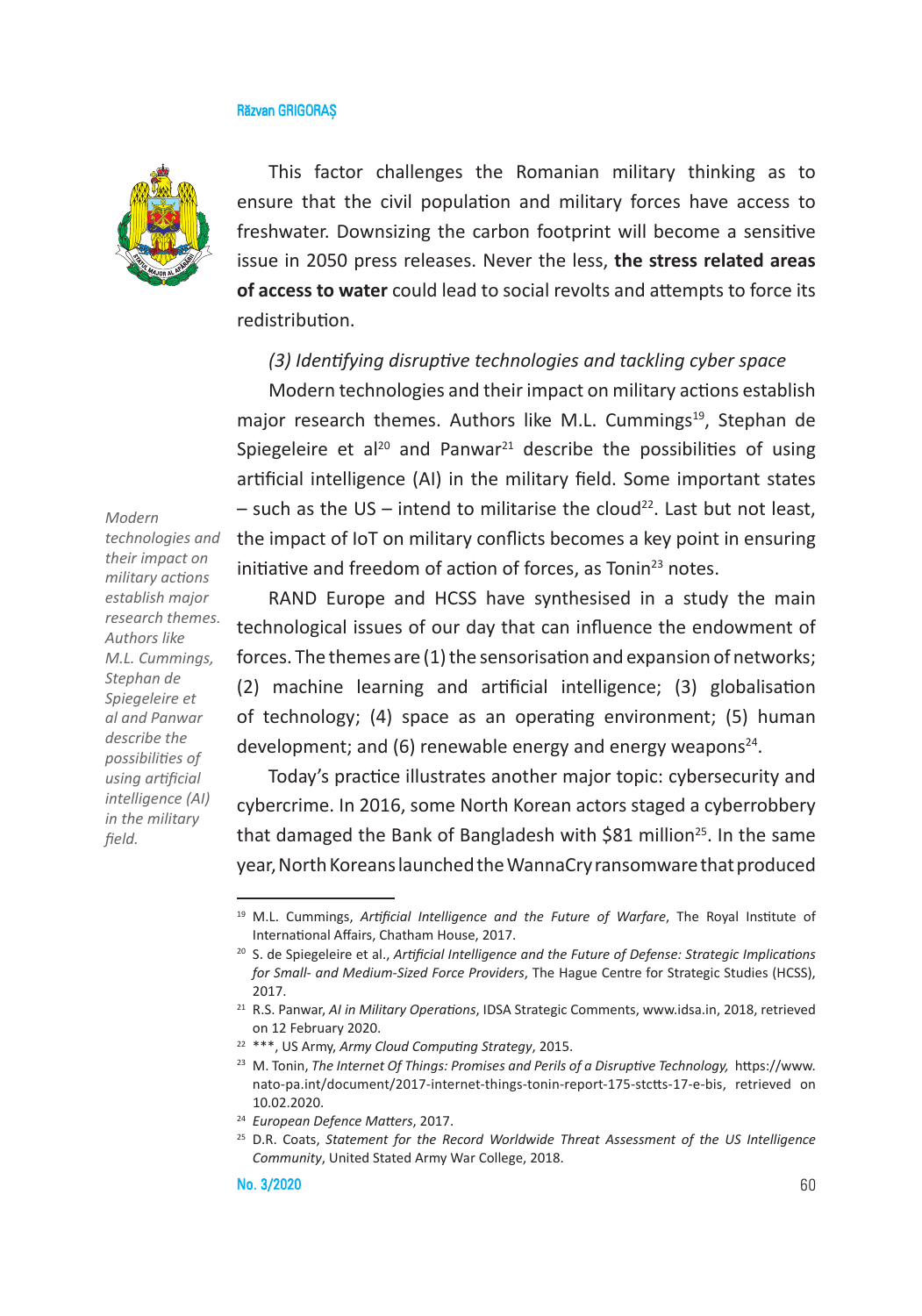

This factor challenges the Romanian military thinking as to ensure that the civil population and military forces have access to freshwater. Downsizing the carbon footprint will become a sensitive issue in 2050 press releases. Never the less, **the stress related areas of access to water** could lead to social revolts and attempts to force its redistribution.

### *(3) Identifying disruptive technologies and tackling cyber space*

Modern technologies and their impact on military actions establish major research themes. Authors like M.L. Cummings<sup>19</sup>, Stephan de Spiegeleire et al<sup>20</sup> and Panwar<sup>21</sup> describe the possibilities of using artificial intelligence (AI) in the military field. Some important states  $-$  such as the US – intend to militarise the cloud<sup>22</sup>. Last but not least, the impact of IoT on military conflicts becomes a key point in ensuring initiative and freedom of action of forces, as Tonin $^{23}$  notes.

RAND Europe and HCSS have synthesised in a study the main technological issues of our day that can influence the endowment of forces. The themes are (1) the sensorisation and expansion of networks; (2) machine learning and artificial intelligence; (3) globalisation of technology; (4) space as an operating environment; (5) human development; and (6) renewable energy and energy weapons<sup>24</sup>.

Today's practice illustrates another major topic: cybersecurity and cybercrime. In 2016, some North Korean actors staged a cyberrobbery that damaged the Bank of Bangladesh with \$81 million<sup>25</sup>. In the same year, North Koreans launched the WannaCry ransomware that produced

*technologies and their impact on military actions establish major research themes. Authors like M.L. Cummings, Stephan de Spiegeleire et al and Panwar describe the possibilities of using artificial intelligence (AI) in the military field.* 

*Modern* 

<sup>19</sup> M.L. Cummings, *Artificial Intelligence and the Future of Warfare*, The Royal Institute of International Affairs, Chatham House, 2017.

<sup>20</sup> S. de Spiegeleire et al., *Artificial Intelligence and the Future of Defense: Strategic Implications for Small- and Medium-Sized Force Providers*, The Hague Centre for Strategic Studies (HCSS), 2017.

<sup>21</sup> R.S. Panwar, *AI in Military Operations*, IDSA Strategic Comments, www.idsa.in, 2018, retrieved on 12 February 2020.

<sup>22</sup> \*\*\*, US Army, *Army Cloud Computing Strategy*, 2015.

<sup>23</sup> M. Tonin, *The Internet Of Things: Promises and Perils of a Disruptive Technology,* https://www. nato-pa.int/document/2017-internet-things-tonin-report-175-stctts-17-e-bis, retrieved on 10.02.2020.

<sup>24</sup> *European Defence Matters*, 2017.

<sup>25</sup> D.R. Coats, *Statement for the Record Worldwide Threat Assessment of the US Intelligence Community*, United Stated Army War College, 2018.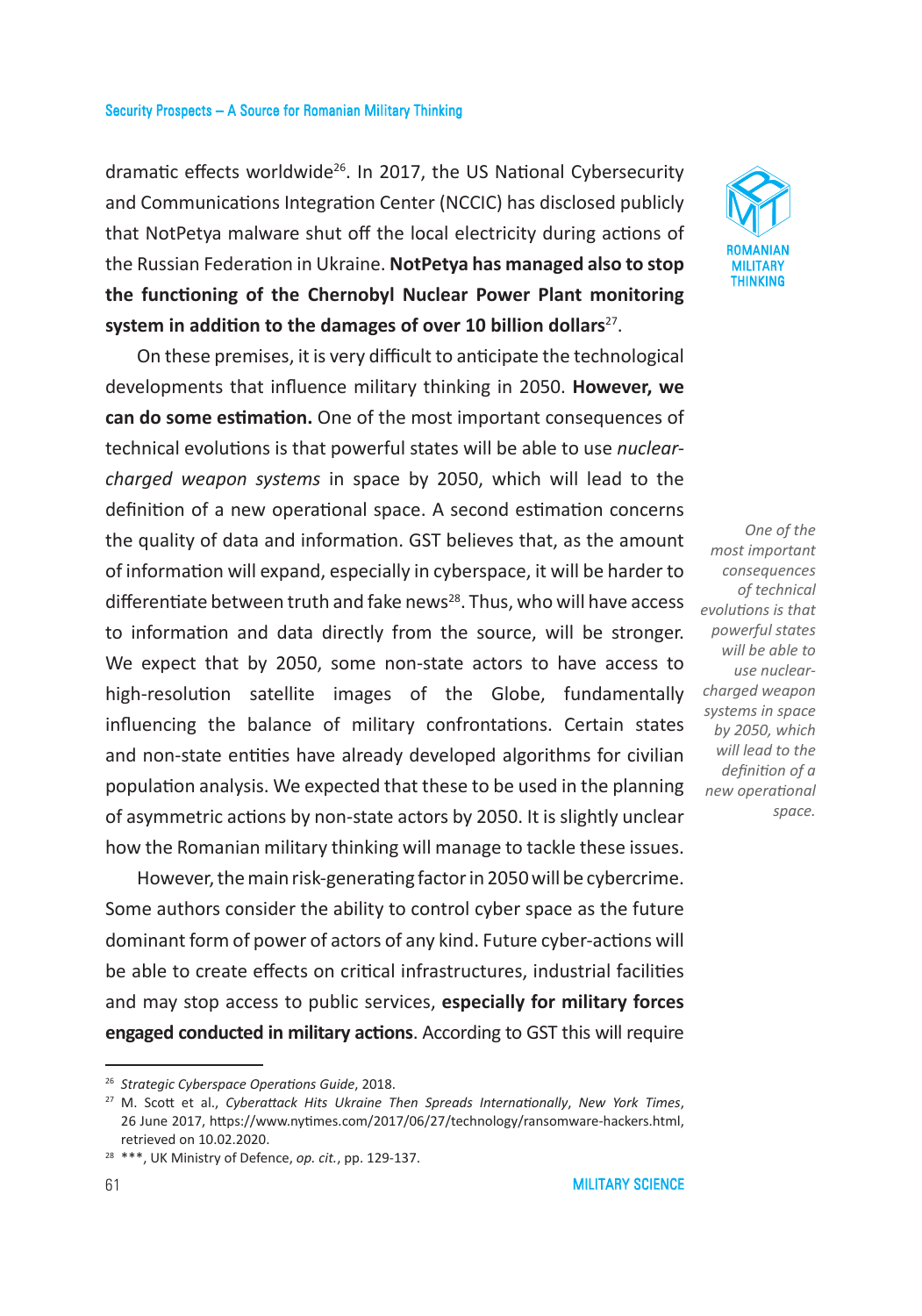dramatic effects worldwide<sup>26</sup>. In 2017, the US National Cybersecurity and Communications Integration Center (NCCIC) has disclosed publicly that NotPetya malware shut off the local electricity during actions of the Russian Federation in Ukraine. **NotPetya has managed also to stop the functioning of the Chernobyl Nuclear Power Plant monitoring**  system in addition to the damages of over 10 billion dollars<sup>27</sup>.

On these premises, it is very difficult to anticipate the technological developments that influence military thinking in 2050. **However, we can do some estimation.** One of the most important consequences of technical evolutions is that powerful states will be able to use *nuclearcharged weapon systems* in space by 2050, which will lead to the definition of a new operational space. A second estimation concerns the quality of data and information. GST believes that, as the amount of information will expand, especially in cyberspace, it will be harder to differentiate between truth and fake news<sup>28</sup>. Thus, who will have access to information and data directly from the source, will be stronger. We expect that by 2050, some non-state actors to have access to high-resolution satellite images of the Globe, fundamentally influencing the balance of military confrontations. Certain states and non-state entities have already developed algorithms for civilian population analysis. We expected that these to be used in the planning of asymmetric actions by non-state actors by 2050. It is slightly unclear how the Romanian military thinking will manage to tackle these issues.

However, the main risk-generating factor in 2050 will be cybercrime. Some authors consider the ability to control cyber space as the future dominant form of power of actors of any kind. Future cyber-actions will be able to create effects on critical infrastructures, industrial facilities and may stop access to public services, **especially for military forces engaged conducted in military actions**. According to GST this will require



*One of the most important consequences of technical evolutions is that powerful states will be able to use nuclearcharged weapon systems in space by 2050, which will lead to the definition of a new operational space.*

<sup>26</sup> *Strategic Cyberspace Operations Guide*, 2018.

<sup>27</sup> M. Scott et al., *Cyberattack Hits Ukraine Then Spreads Internationally*, *New York Times*, 26 June 2017, https://www.nytimes.com/2017/06/27/technology/ransomware-hackers.html, retrieved on 10.02.2020.

<sup>28</sup> \*\*\*, UK Ministry of Defence, *op. cit.*, pp. 129-137.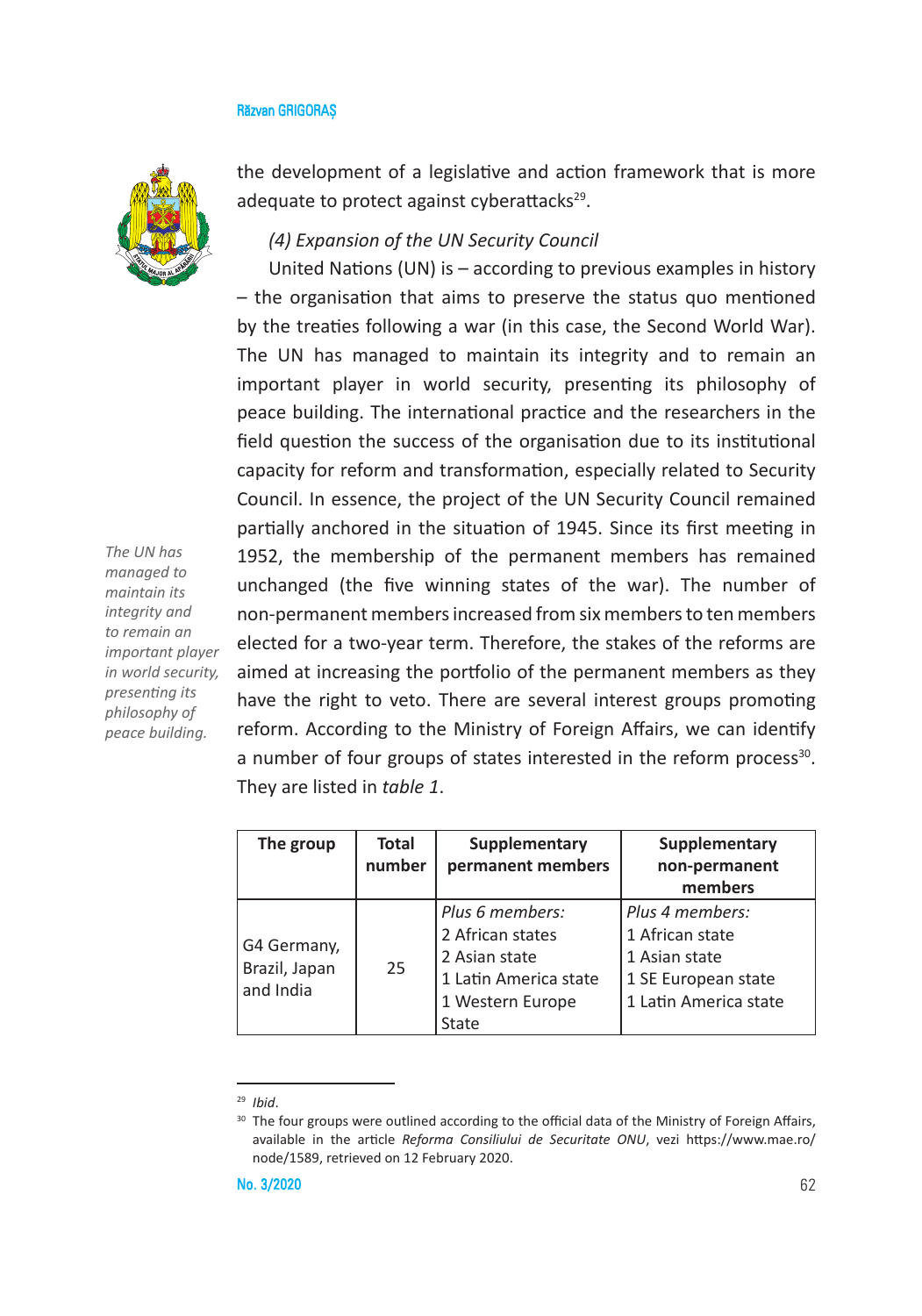

*The UN has managed to maintain its integrity and to remain an important player in world security, presenting its philosophy of peace building.* 

the development of a legislative and action framework that is more adequate to protect against cyberattacks $29$ .

## *(4) Expansion of the UN Security Council*

United Nations (UN) is – according to previous examples in history – the organisation that aims to preserve the status quo mentioned by the treaties following a war (in this case, the Second World War). The UN has managed to maintain its integrity and to remain an important player in world security, presenting its philosophy of peace building. The international practice and the researchers in the field question the success of the organisation due to its institutional capacity for reform and transformation, especially related to Security Council. In essence, the project of the UN Security Council remained partially anchored in the situation of 1945. Since its first meeting in 1952, the membership of the permanent members has remained unchanged (the five winning states of the war). The number of non-permanent members increased from six members to ten members elected for a two-year term. Therefore, the stakes of the reforms are aimed at increasing the portfolio of the permanent members as they have the right to veto. There are several interest groups promoting reform. According to the Ministry of Foreign Affairs, we can identify a number of four groups of states interested in the reform process<sup>30</sup>. They are listed in *table 1*.

| The group                                 | Total<br>number | Supplementary<br>permanent members                                                                         | Supplementary<br>non-permanent<br>members                                                           |
|-------------------------------------------|-----------------|------------------------------------------------------------------------------------------------------------|-----------------------------------------------------------------------------------------------------|
| G4 Germany,<br>Brazil, Japan<br>and India | 25              | Plus 6 members:<br>2 African states<br>2 Asian state<br>1 Latin America state<br>1 Western Europe<br>State | Plus 4 members:<br>1 African state<br>1 Asian state<br>1 SE European state<br>1 Latin America state |

<sup>29</sup> *Ibid*.

<sup>30</sup> The four groups were outlined according to the official data of the Ministry of Foreign Affairs, available in the article *Reforma Consiliului de Securitate ONU*, vezi https://www.mae.ro/ node/1589, retrieved on 12 February 2020.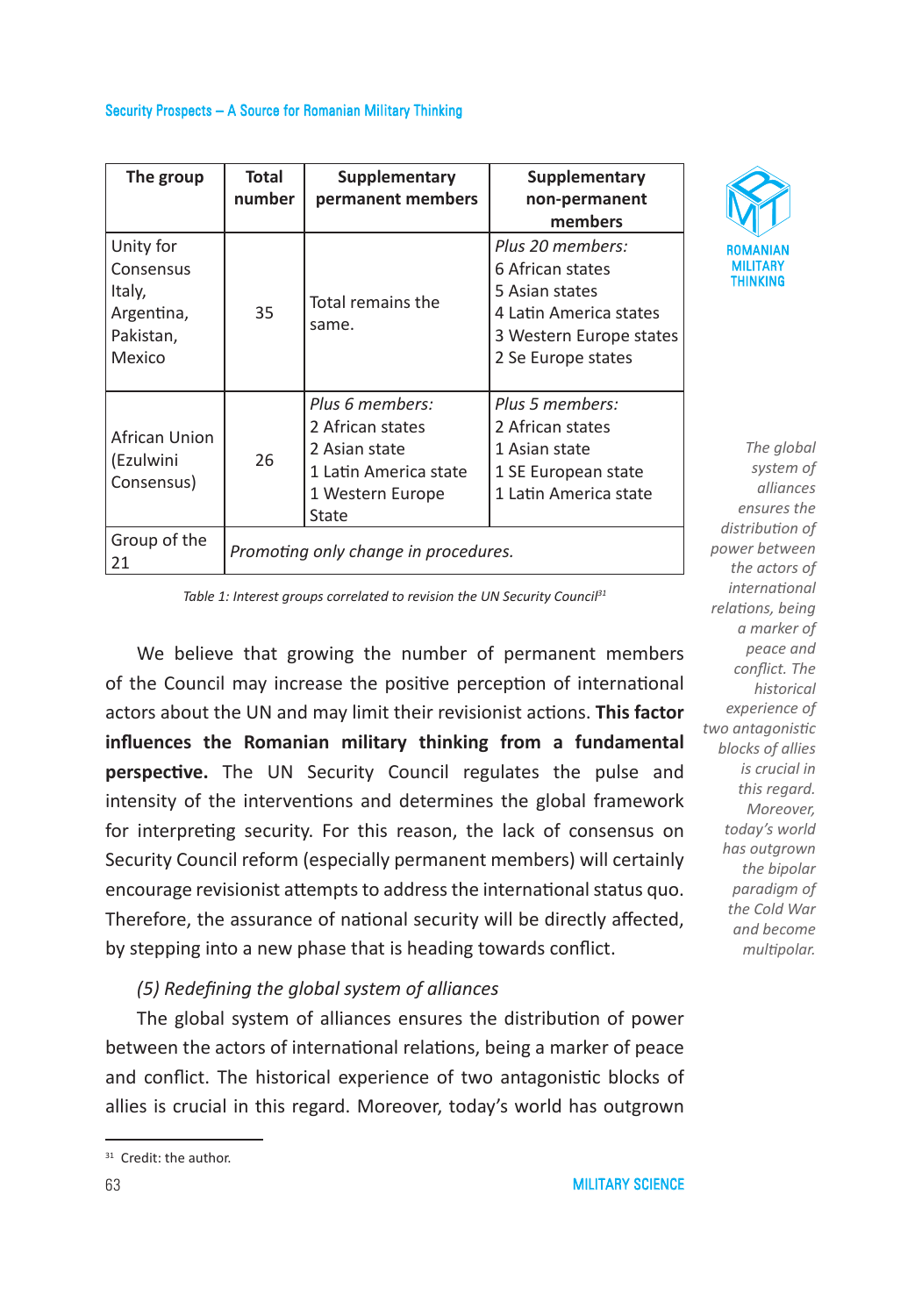### Security Prospects – A Source for Romanian Military Thinking

| The group                                                             | Total<br>number                      | Supplementary<br>permanent members                                                                         | Supplementary<br>non-permanent<br>members                                                                                         |
|-----------------------------------------------------------------------|--------------------------------------|------------------------------------------------------------------------------------------------------------|-----------------------------------------------------------------------------------------------------------------------------------|
| Unity for<br>Consensus<br>Italy,<br>Argentina,<br>Pakistan,<br>Mexico | 35                                   | Total remains the<br>same.                                                                                 | Plus 20 members:<br>6 African states<br>5 Asian states<br>4 Latin America states<br>3 Western Europe states<br>2 Se Europe states |
| African Union<br>(Ezulwini<br>Consensus)                              | 26                                   | Plus 6 members:<br>2 African states<br>2 Asian state<br>1 Latin America state<br>1 Western Europe<br>State | Plus 5 members:<br>2 African states<br>1 Asian state<br>1 SE European state<br>1 Latin America state                              |
| Group of the<br>21                                                    | Promoting only change in procedures. |                                                                                                            |                                                                                                                                   |



*The global system of alliances ensures the distribution of power between the actors of international relations, being a marker of peace and conflict. The historical experience of two antagonistic blocks of allies is crucial in this regard. Moreover, today's world has outgrown the bipolar paradigm of the Cold War and become multipolar.* 

Table 1: Interest groups correlated to revision the UN Security Council<sup>31</sup>

We believe that growing the number of permanent members of the Council may increase the positive perception of international actors about the UN and may limit their revisionist actions. **This factor influences the Romanian military thinking from a fundamental perspective.** The UN Security Council regulates the pulse and intensity of the interventions and determines the global framework for interpreting security. For this reason, the lack of consensus on Security Council reform (especially permanent members) will certainly encourage revisionist attempts to address the international status quo. Therefore, the assurance of national security will be directly affected, by stepping into a new phase that is heading towards conflict.

### *(5) Redefining the global system of alliances*

The global system of alliances ensures the distribution of power between the actors of international relations, being a marker of peace and conflict. The historical experience of two antagonistic blocks of allies is crucial in this regard. Moreover, today's world has outgrown

<sup>&</sup>lt;sup>31</sup> Credit: the author.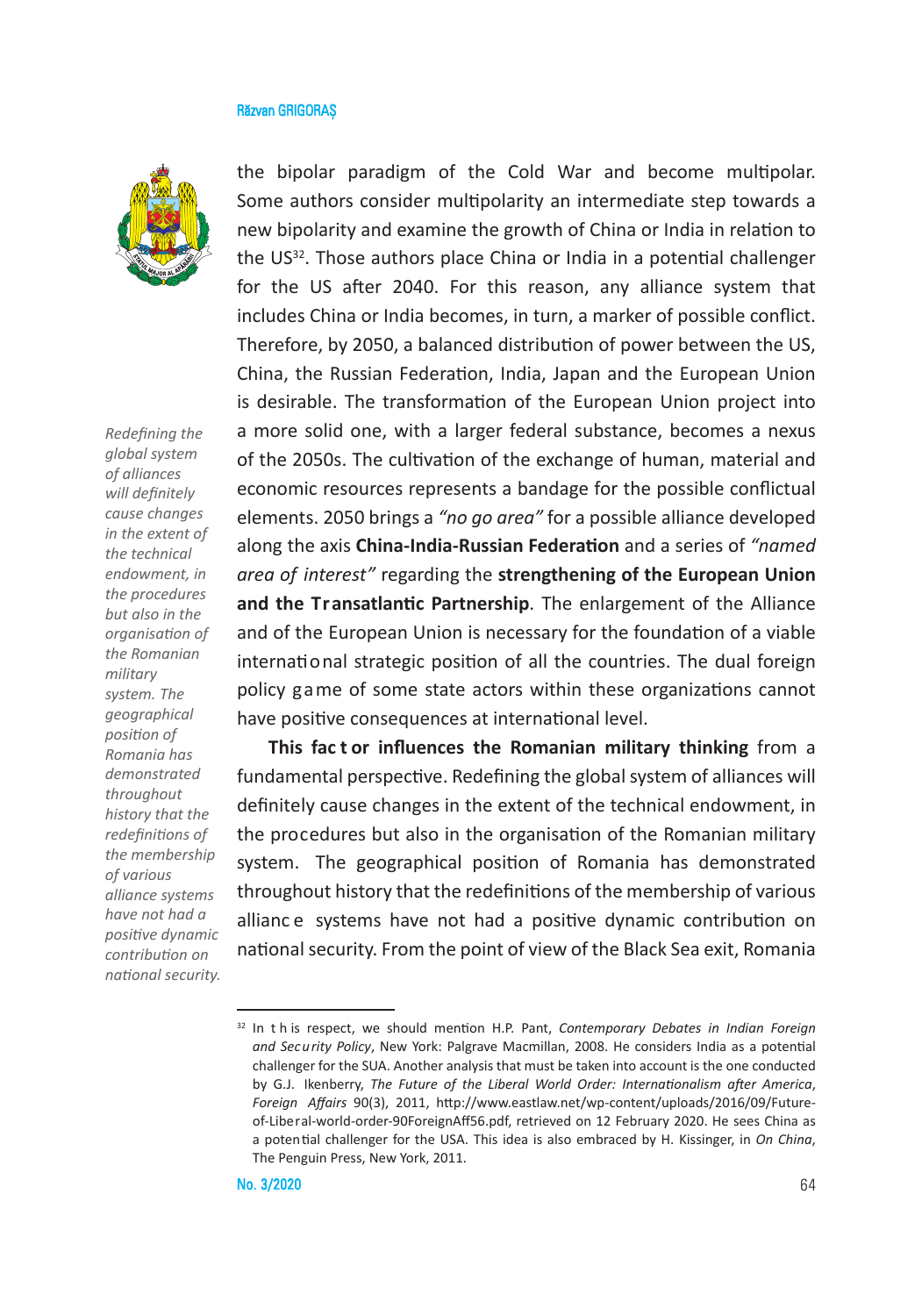

*Redefining the global system of alliances will definitely cause changes in the extent of the technical endowment, in the procedures but also in the organisation of the Romanian military system. The geographical position of Romania has demonstrated throughout history that the redefinitions of the membership of various alliance systems have not had a positive dynamic contribution on national security.*  the bipolar paradigm of the Cold War and become multipolar. Some authors consider multipolarity an intermediate step towards a new bipolarity and examine the growth of China or India in relation to the US32. Those authors place China or India in a potential challenger for the US after 2040. For this reason, any alliance system that includes China or India becomes, in turn, a marker of possible conflict. Therefore, by 2050, a balanced distribution of power between the US, China, the Russian Federation, India, Japan and the European Union is desirable. The transformation of the European Union project into a more solid one, with a larger federal substance, becomes a nexus of the 2050s. The cultivation of the exchange of human, material and economic resources represents a bandage for the possible conflictual elements. 2050 brings a *"no go area"* for a possible alliance developed along the axis **China-India-Russian Federation** and a series of *"named area of interest"* regarding the **strengthening of the European Union and the Transatlantic Partnership**. The enlargement of the Alliance and of the European Union is necessary for the foundation of a viable international strategic position of all the countries. The dual foreign policy game of some state actors within these organizations cannot have positive consequences at international level.

**This fac t or influences the Romanian military thinking** from a fundamental perspective. Redefining the global system of alliances will definitely cause changes in the extent of the technical endowment, in the procedures but also in the organisation of the Romanian military system. The geographical position of Romania has demonstrated throughout history that the redefinitions of the membership of various allianc e systems have not had a positive dynamic contribution on national security. From the point of view of the Black Sea exit, Romania

<sup>32</sup> In t h is respect, we should mention H.P. Pant, *Contemporary Debates in Indian Foreign and Security Policy*, New York: Palgrave Macmillan, 2008. He considers India as a potential challenger for the SUA. Another analysis that must be taken into account is the one conducted by G.J. Ikenberry, *The Future of the Liberal World Order: Internationalism after America*, *Foreign Affairs* 90(3), 2011, http://www.eastlaw.net/wp-content/uploads/2016/09/Futureof-Liberal-world-order-90ForeignAff56.pdf, retrieved on 12 February 2020. He sees China as a potential challenger for the USA. This idea is also embraced by H. Kissinger, in *On China*, The Penguin Press, New York, 2011.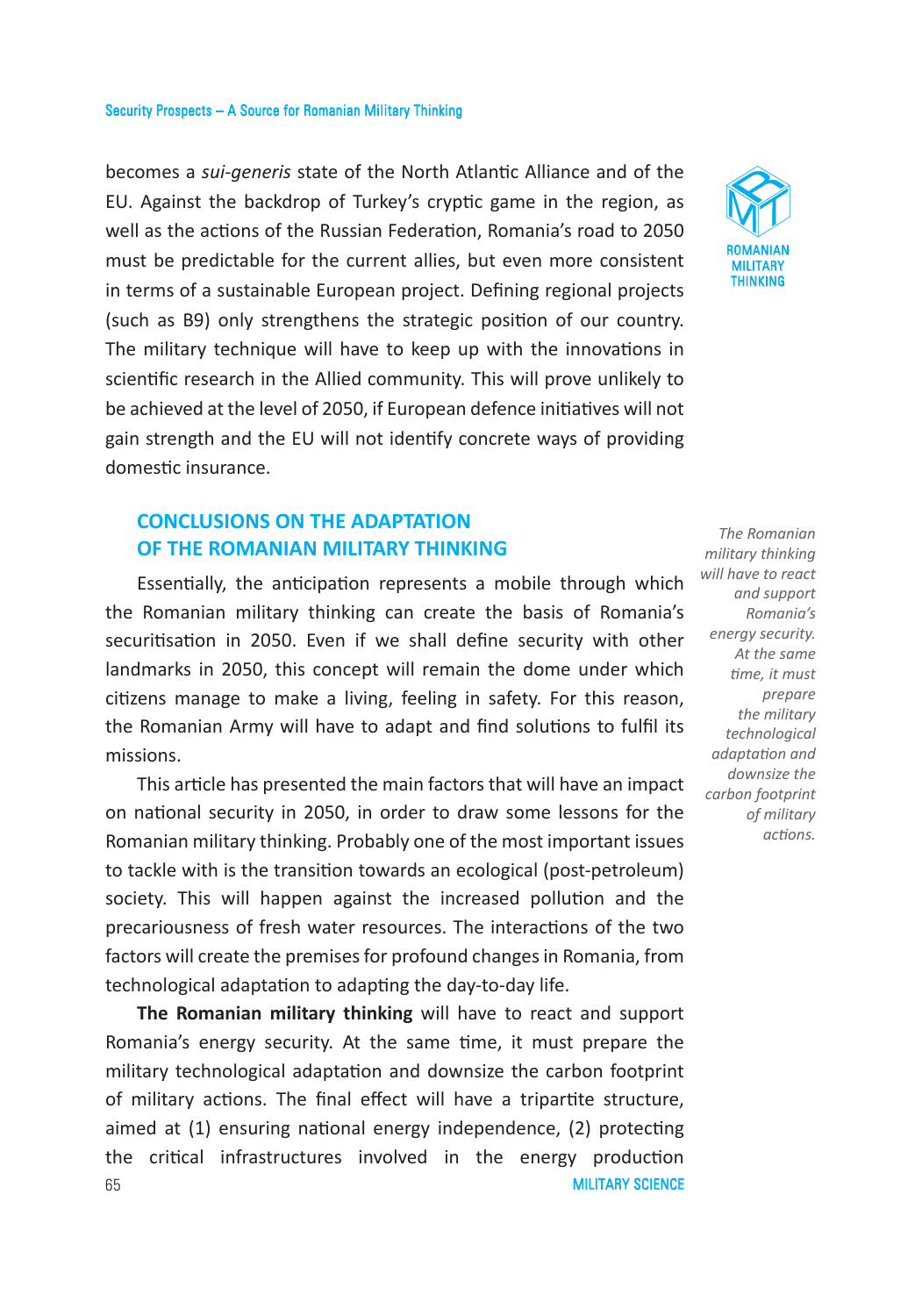becomes a *sui-generis* state of the North Atlantic Alliance and of the EU. Against the backdrop of Turkey's cryptic game in the region, as well as the actions of the Russian Federation, Romania's road to 2050 must be predictable for the current allies, but even more consistent in terms of a sustainable European project. Defining regional projects (such as B9) only strengthens the strategic position of our country. The military technique will have to keep up with the innovations in scientific research in the Allied community. This will prove unlikely to be achieved at the level of 2050, if European defence initiatives will not gain strength and the EU will not identify concrete ways of providing domestic insurance.

# **CONCLUSIONS ON THE ADAPTATION OF THE ROMANIAN MILITARY THINKING**

Essentially, the anticipation represents a mobile through which the Romanian military thinking can create the basis of Romania's securitisation in 2050. Even if we shall define security with other landmarks in 2050, this concept will remain the dome under which citizens manage to make a living, feeling in safety. For this reason, the Romanian Army will have to adapt and find solutions to fulfil its missions.

This article has presented the main factors that will have an impact on national security in 2050, in order to draw some lessons for the Romanian military thinking. Probably one of the most important issues to tackle with is the transition towards an ecological (post-petroleum) society. This will happen against the increased pollution and the precariousness of fresh water resources. The interactions of the two factors will create the premises for profound changes in Romania, from technological adaptation to adapting the day-to-day life.

**MILITARY SCIENCE** 65 **The Romanian military thinking** will have to react and support Romania's energy security. At the same time, it must prepare the military technological adaptation and downsize the carbon footprint of military actions. The final effect will have a tripartite structure, aimed at (1) ensuring national energy independence, (2) protecting the critical infrastructures involved in the energy production



*The Romanian military thinking will have to react and support Romania's energy security. At the same time, it must prepare the military technological adaptation and downsize the carbon footprint of military actions.*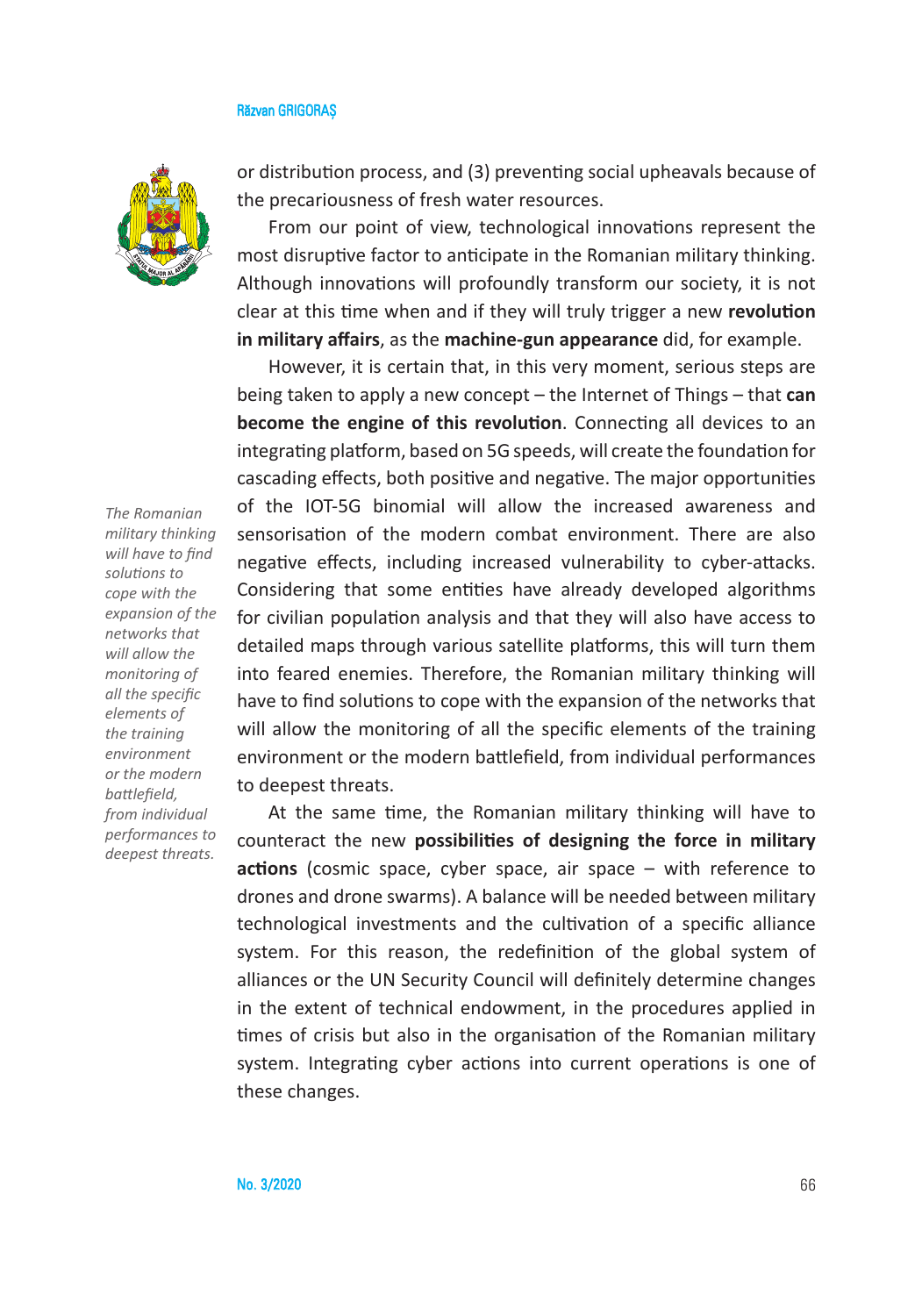

*The Romanian military thinking will have to find solutions to cope with the expansion of the networks that will allow the monitoring of all the specific elements of the training environment or the modern battlefield, from individual performances to deepest threats.*

or distribution process, and (3) preventing social upheavals because of the precariousness of fresh water resources.

From our point of view, technological innovations represent the most disruptive factor to anticipate in the Romanian military thinking. Although innovations will profoundly transform our society, it is not clear at this time when and if they will truly trigger a new **revolution in military affairs**, as the **machine-gun appearance** did, for example.

However, it is certain that, in this very moment, serious steps are being taken to apply a new concept – the Internet of Things – that **can become the engine of this revolution**. Connecting all devices to an integrating platform, based on 5G speeds, will create the foundation for cascading effects, both positive and negative. The major opportunities of the IOT-5G binomial will allow the increased awareness and sensorisation of the modern combat environment. There are also negative effects, including increased vulnerability to cyber-attacks. Considering that some entities have already developed algorithms for civilian population analysis and that they will also have access to detailed maps through various satellite platforms, this will turn them into feared enemies. Therefore, the Romanian military thinking will have to find solutions to cope with the expansion of the networks that will allow the monitoring of all the specific elements of the training environment or the modern battlefield, from individual performances to deepest threats.

At the same time, the Romanian military thinking will have to counteract the new **possibilities of designing the force in military actions** (cosmic space, cyber space, air space – with reference to drones and drone swarms). A balance will be needed between military technological investments and the cultivation of a specific alliance system. For this reason, the redefinition of the global system of alliances or the UN Security Council will definitely determine changes in the extent of technical endowment, in the procedures applied in times of crisis but also in the organisation of the Romanian military system. Integrating cyber actions into current operations is one of these changes.